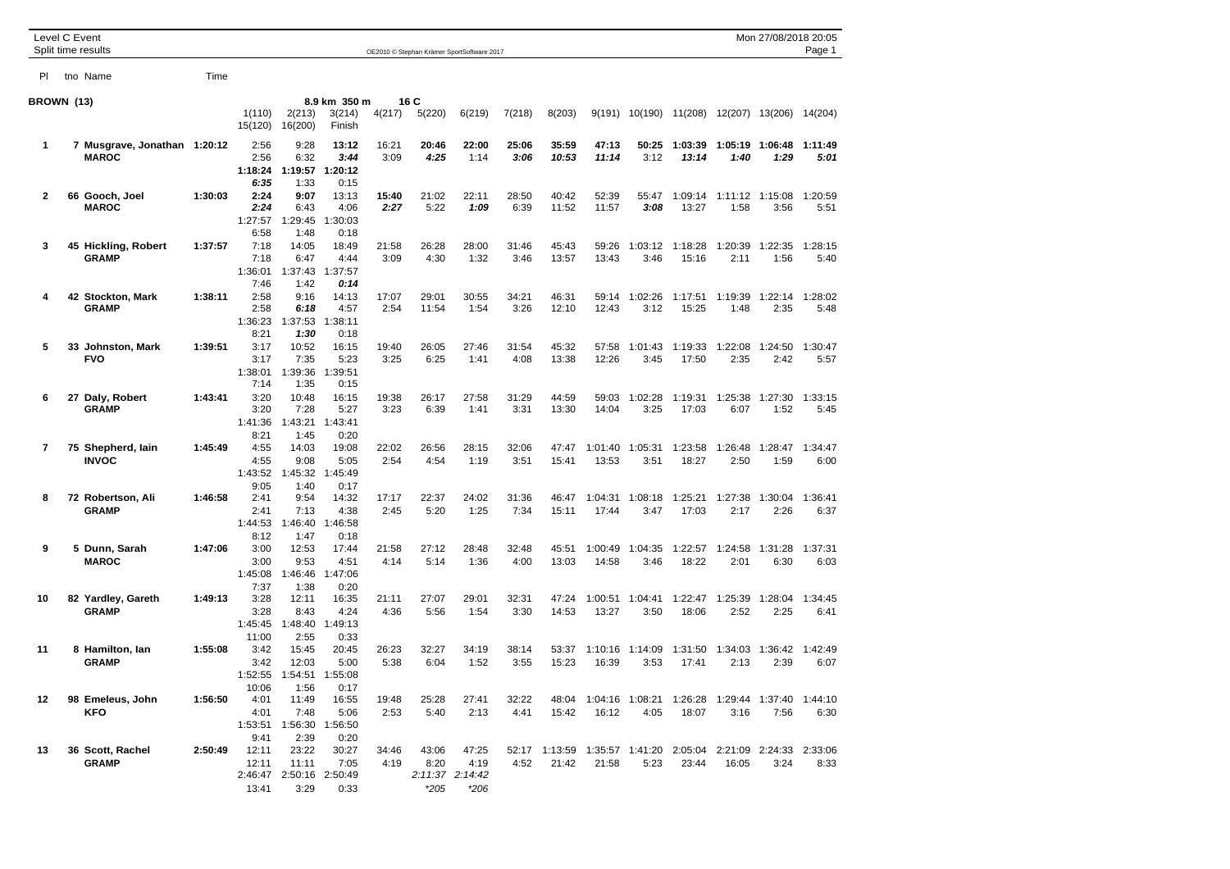| Level C Event | Split time results                           |         | Mon 27/08/2018 20:05<br>OE2010 © Stephan Krämer SportSoftware 2017 |                                                           |                                  |               |                         |                                            |               |                |                  |                 |                                                                |                 |                                 | Page 1          |
|---------------|----------------------------------------------|---------|--------------------------------------------------------------------|-----------------------------------------------------------|----------------------------------|---------------|-------------------------|--------------------------------------------|---------------|----------------|------------------|-----------------|----------------------------------------------------------------|-----------------|---------------------------------|-----------------|
| PI.           | tno Name                                     | Time    |                                                                    |                                                           |                                  |               |                         |                                            |               |                |                  |                 |                                                                |                 |                                 |                 |
| BROWN (13)    |                                              |         | 1(110)<br>15(120)                                                  | 2(213)<br>16(200)                                         | 8.9 km 350 m<br>3(214)<br>Finish | 4(217)        | 16 C<br>5(220)          | 6(219)                                     | 7(218)        | 8(203)         | 9(191)           | 10(190)         | 11(208)                                                        |                 | 12(207) 13(206)                 | 14(204)         |
| 1             | 7 Musgrave, Jonathan 1:20:12<br><b>MAROC</b> |         | 2:56<br>2:56<br>1:18:24<br>6:35                                    | 9:28<br>6:32<br>1:19:57<br>1:33                           | 13:12<br>3:44<br>1:20:12<br>0:15 | 16:21<br>3:09 | 20:46<br>4:25           | 22:00<br>1:14                              | 25:06<br>3:06 | 35:59<br>10:53 | 47:13<br>11:14   | 50:25<br>3:12   | 1:03:39<br>13:14                                               | 1:05:19<br>1:40 | 1:06:48<br>1:29                 | 1:11:49<br>5:01 |
| 2             | 66 Gooch, Joel<br><b>MAROC</b>               | 1:30:03 | 2:24<br>2:24<br>1:27:57<br>6:58                                    | 9:07<br>6:43<br>1:29:45<br>1:48                           | 13:13<br>4:06<br>1:30:03<br>0:18 | 15:40<br>2:27 | 21:02<br>5:22           | 22:11<br>1:09                              | 28:50<br>6:39 | 40:42<br>11:52 | 52:39<br>11:57   | 55:47<br>3:08   | 1:09:14<br>13:27                                               | 1:58            | 1:11:12 1:15:08<br>3:56         | 1:20:59<br>5:51 |
| 3             | 45 Hickling, Robert<br><b>GRAMP</b>          | 1:37:57 | 7:18<br>7:18<br>1:36:01<br>7:46                                    | 14:05<br>6:47<br>1:37:43<br>1:42                          | 18:49<br>4:44<br>1:37:57<br>0:14 | 21:58<br>3:09 | 26:28<br>4:30           | 28:00<br>1:32                              | 31:46<br>3:46 | 45:43<br>13:57 | 59:26<br>13:43   | 1:03:12<br>3:46 | 1:18:28<br>15:16                                               | 1:20:39<br>2:11 | 1:22:35<br>1:56                 | 1:28:15<br>5:40 |
| 4             | 42 Stockton, Mark<br><b>GRAMP</b>            | 1:38:11 | 2:58<br>2:58<br>1:36:23<br>8:21                                    | 9:16<br>6:18<br>1:37:53<br>1:30                           | 14:13<br>4:57<br>1:38:11<br>0:18 | 17:07<br>2:54 | 29:01<br>11:54          | 30:55<br>1:54                              | 34:21<br>3:26 | 46:31<br>12:10 | 59:14<br>12:43   | 1:02:26<br>3:12 | 1:17:51<br>15:25                                               | 1:19:39<br>1:48 | 1:22:14<br>2:35                 | 1:28:02<br>5:48 |
| 5             | 33 Johnston, Mark<br><b>FVO</b>              | 1:39:51 | 3:17<br>3:17<br>1:38:01<br>7:14                                    | 10:52<br>7:35<br>1:39:36<br>1:35                          | 16:15<br>5:23<br>1:39:51<br>0:15 | 19:40<br>3:25 | 26:05<br>6:25           | 27:46<br>1:41                              | 31:54<br>4:08 | 45:32<br>13:38 | 57:58<br>12:26   | 1:01:43<br>3:45 | 1:19:33<br>17:50                                               | 1:22:08<br>2:35 | 1:24:50<br>2:42                 | 1:30:47<br>5:57 |
| 6             | 27 Daly, Robert<br><b>GRAMP</b>              | 1:43:41 | 3:20<br>3:20<br>1:41:36                                            | 10:48<br>7:28<br>1:43:21                                  | 16:15<br>5:27<br>1:43:41         | 19:38<br>3:23 | 26:17<br>6:39           | 27:58<br>1:41                              | 31:29<br>3:31 | 44:59<br>13:30 | 59:03<br>14:04   | 1:02:28<br>3:25 | 1:19:31<br>17:03                                               | 1:25:38<br>6:07 | 1:27:30<br>1:52                 | 1:33:15<br>5:45 |
| 7             | 75 Shepherd, Iain<br><b>INVOC</b>            | 1:45:49 | 8:21<br>4:55<br>4:55<br>1:43:52                                    | 1:45<br>14:03<br>9:08<br>1:45:32                          | 0:20<br>19:08<br>5:05<br>1:45:49 | 22:02<br>2:54 | 26:56<br>4:54           | 28:15<br>1:19                              | 32:06<br>3:51 | 47:47<br>15:41 | 1:01:40<br>13:53 | 1:05:31<br>3:51 | 1:23:58<br>18:27                                               | 1:26:48<br>2:50 | 1:28:47<br>1:59                 | 1:34:47<br>6:00 |
| 8             | 72 Robertson, Ali<br><b>GRAMP</b>            | 1:46:58 | 9:05<br>2:41<br>2:41<br>1:44:53                                    | 1:40<br>9:54<br>7:13<br>1:46:40                           | 0:17<br>14:32<br>4:38<br>1:46:58 | 17:17<br>2:45 | 22:37<br>5:20           | 24:02<br>1:25                              | 31:36<br>7:34 | 46:47<br>15:11 | 1:04:31<br>17:44 | 1:08:18<br>3:47 | 1:25:21<br>17:03                                               | 1:27:38<br>2:17 | 1:30:04<br>2:26                 | 1:36:41<br>6:37 |
| 9             | 5 Dunn, Sarah<br><b>MAROC</b>                | 1:47:06 | 8:12<br>3:00<br>3:00<br>1:45:08                                    | 1:47<br>12:53<br>9:53<br>1:46:46                          | 0:18<br>17:44<br>4:51<br>1:47:06 | 21:58<br>4:14 | 27:12<br>5:14           | 28:48<br>1:36                              | 32:48<br>4:00 | 45:51<br>13:03 | 1:00:49<br>14:58 | 1:04:35<br>3:46 | 1:22:57<br>18:22                                               | 1:24:58<br>2:01 | 1:31:28<br>6:30                 | 1:37:31<br>6:03 |
| 10            | 82 Yardley, Gareth<br><b>GRAMP</b>           | 1:49:13 | 7:37<br>3:28<br>3:28<br>1:45:45                                    | 1:38<br>12:11<br>8:43<br>1:48:40                          | 0:20<br>16:35<br>4:24<br>1:49:13 | 21:11<br>4:36 | 27:07<br>5:56           | 29:01<br>1:54                              | 32:31<br>3:30 | 47:24<br>14:53 | 1:00:51<br>13:27 | 1:04:41<br>3:50 | 1:22:47<br>18:06                                               | 1:25:39<br>2:52 | 1:28:04<br>2:25                 | 1:34:45<br>6:41 |
| 11            | 8 Hamilton, lan<br><b>GRAMP</b>              | 1:55:08 | 11:00<br>3:42<br>3:42<br>1:52:55                                   | 2:55<br>15:45<br>12:03<br>1:54:51                         | 0:33<br>20:45<br>5:00<br>1:55:08 | 26:23<br>5:38 | 32:27<br>6:04           | 34:19<br>1:52                              | 38:14<br>3:55 | 53:37<br>15:23 | 1:10:16<br>16:39 | 1:14:09<br>3:53 | 1:31:50<br>17:41                                               | 1:34:03<br>2:13 | 1:36:42<br>2:39                 | 1:42:49<br>6:07 |
| 12            | 98 Emeleus, John<br>KFO                      | 1:56:50 | 10:06<br>4:01<br>4:01<br>1:53:51                                   | 1:56<br>11:49<br>7:48<br>1:56:30                          | 0:17<br>16:55<br>5:06<br>1:56:50 | 19:48<br>2:53 | 25:28<br>5:40           | 27:41<br>2:13                              | 32:22<br>4:41 | 15:42          | 16:12            | 4:05            | 48:04 1:04:16 1:08:21 1:26:28 1:29:44 1:37:40 1:44:10<br>18:07 | 3:16            | 7:56                            | 6:30            |
| 13            | 36 Scott, Rachel<br><b>GRAMP</b>             | 2:50:49 | 9:41<br>12:11<br>12:11<br>13:41                                    | 2:39<br>23:22<br>11:11<br>2:46:47 2:50:16 2:50:49<br>3:29 | 0:20<br>30:27<br>7:05<br>0:33    | 34:46<br>4:19 | 43:06<br>8:20<br>$*205$ | 47:25<br>4:19<br>2:11:37 2:14:42<br>$*206$ | 4:52          | 21:42          | 21:58            | 5:23            | 23:44                                                          | 16:05           | 2:21:09 2:24:33 2:33:06<br>3:24 | 8:33            |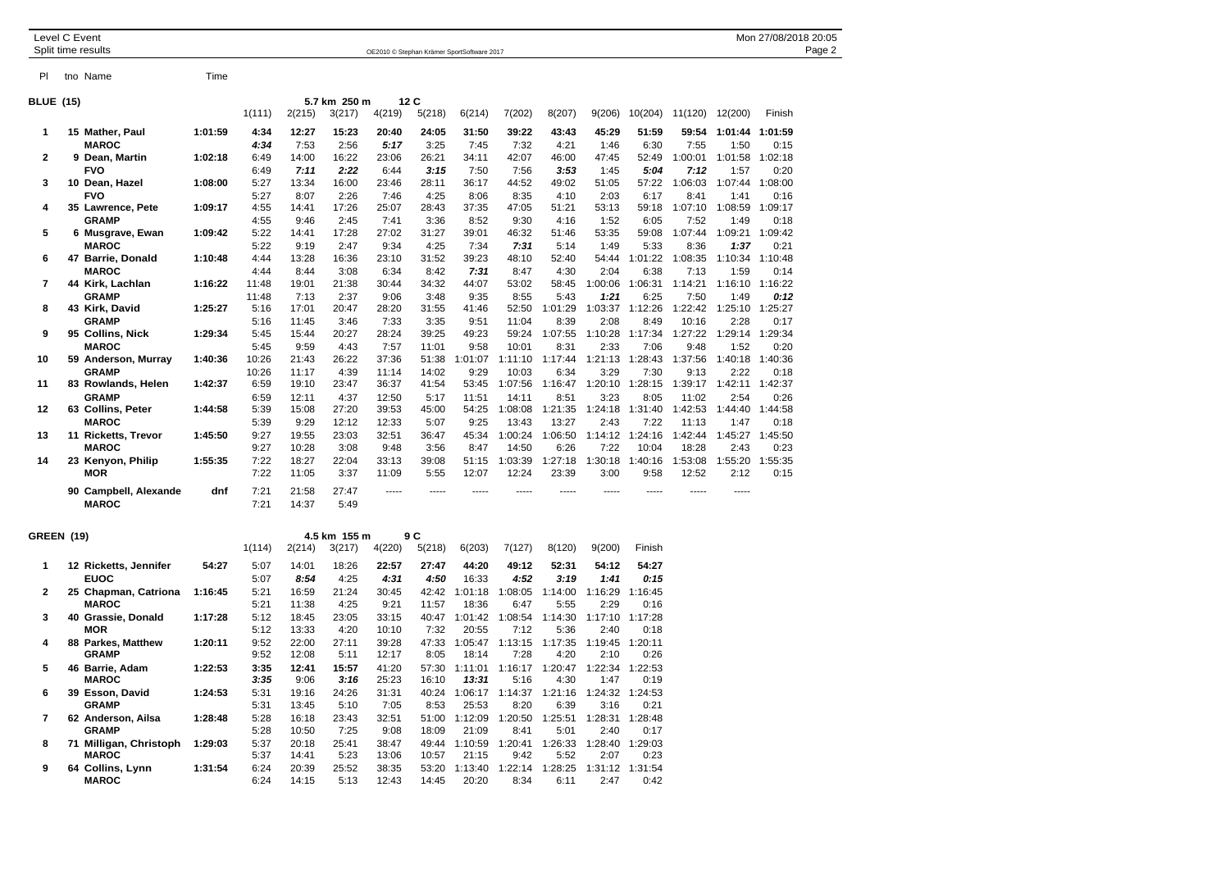|                  | Level C Event | Split time results                            |              |                       | OE2010 © Stephan Krämer SportSoftware 2017 |                                       |                       |                       |                       |                                       |                           |                                           |               |               | Mon 27/08/2018 20:05<br>Page 2 |                         |  |  |
|------------------|---------------|-----------------------------------------------|--------------|-----------------------|--------------------------------------------|---------------------------------------|-----------------------|-----------------------|-----------------------|---------------------------------------|---------------------------|-------------------------------------------|---------------|---------------|--------------------------------|-------------------------|--|--|
| PI               |               | tno Name                                      | Time         |                       |                                            |                                       |                       |                       |                       |                                       |                           |                                           |               |               |                                |                         |  |  |
| <b>BLUE (15)</b> |               |                                               |              | 1(111)                | 2(215)                                     | 5.7 km 250 m<br>3(217)                | 4(219)                | 12 C<br>5(218)        | 6(214)                | 7(202)                                | 8(207)                    | 9(206)                                    | 10(204)       | 11(120)       | 12(200)                        | Finish                  |  |  |
|                  |               | 15 Mather, Paul<br><b>MAROC</b><br>.<br>- - - | 1:01:59<br>. | 4:34<br>4:34<br>- - - | 12:27<br>7:53<br>.                         | 15:23<br>2:56<br>$\sim$ $\sim$ $\sim$ | 20:40<br>5:17<br>---- | 24:05<br>3:25<br>---- | 31:50<br>7:45<br>---- | 39:22<br>7:32<br>$\sim$ $\sim$ $\sim$ | 43:43<br>4:21<br>$\cdots$ | 45:29<br>1:46<br>$\overline{\phantom{a}}$ | 51:59<br>6:30 | 59:54<br>7:55 | :50<br>--------------------    | 1:01:44 1:01:59<br>0:15 |  |  |

|                |                       |         | 1(111)                                                                                                          | 2(215) | 3(217)       | 4(219) | 5(218) | 6(214)  | 7(202)  | 8(207)         | 9(206)  | 10(204) | 11(120) | 12(200) | Finish  |
|----------------|-----------------------|---------|-----------------------------------------------------------------------------------------------------------------|--------|--------------|--------|--------|---------|---------|----------------|---------|---------|---------|---------|---------|
| 1              | 15 Mather, Paul       | 1:01:59 | 4:34                                                                                                            | 12:27  | 15:23        | 20:40  | 24:05  | 31:50   | 39:22   | 43:43          | 45:29   | 51:59   | 59:54   | 1:01:44 | 1:01:59 |
|                | <b>MAROC</b>          |         | 4:34                                                                                                            | 7:53   | 2:56         | 5:17   | 3:25   | 7:45    | 7:32    | 4:21           | 1:46    | 6:30    | 7:55    | 1:50    | 0:15    |
| $\overline{2}$ | 9 Dean, Martin        | 1:02:18 | 6:49                                                                                                            | 14:00  | 16:22        | 23:06  | 26:21  | 34:11   | 42:07   | 46:00          | 47:45   | 52:49   | 1:00:01 | 1:01:58 | 1:02:18 |
|                | <b>FVO</b>            |         | 6:49                                                                                                            | 7:11   | 2:22         | 6:44   | 3:15   | 7:50    | 7:56    | 3:53           | 1:45    | 5:04    | 7:12    | 1:57    | 0:20    |
| 3              | 10 Dean, Hazel        | 1:08:00 | 5:27                                                                                                            | 13:34  | 16:00        | 23:46  | 28:11  | 36:17   | 44:52   | 49:02          | 51:05   | 57:22   | 1:06:03 | 1:07:44 | 1:08:00 |
|                | <b>FVO</b>            |         | 5:27                                                                                                            | 8:07   | 2:26         | 7:46   | 4:25   | 8:06    | 8:35    | 4:10           | 2:03    | 6:17    | 8:41    | 1:41    | 0:16    |
| 4              | 35 Lawrence, Pete     | 1:09:17 | 4:55                                                                                                            | 14:41  | 17:26        | 25:07  | 28:43  | 37:35   | 47:05   | 51:21          | 53:13   | 59:18   | 1:07:10 | 1:08:59 | 1:09:17 |
|                | <b>GRAMP</b>          |         | 4:55                                                                                                            | 9:46   | 2:45         | 7:41   | 3:36   | 8:52    | 9:30    | 4:16           | 1:52    | 6:05    | 7:52    | 1:49    | 0:18    |
| 5              | 6 Musgrave, Ewan      | 1:09:42 | 5:22                                                                                                            | 14:41  | 17:28        | 27:02  | 31:27  | 39:01   | 46:32   | 51:46          | 53:35   | 59:08   | 1:07:44 | 1:09:21 | 1:09:42 |
|                | <b>MAROC</b>          |         | 5:22                                                                                                            | 9:19   | 2:47         | 9:34   | 4:25   | 7:34    | 7:31    | 5:14           | 1:49    | 5:33    | 8:36    | 1:37    | 0:21    |
| 6              | 47 Barrie, Donald     | 1:10:48 | 4:44                                                                                                            | 13:28  | 16:36        | 23:10  | 31:52  | 39:23   | 48:10   | 52:40          | 54:44   | 1:01:22 | 1:08:35 | 1:10:34 | 1:10:48 |
|                | <b>MAROC</b>          |         | 4:44                                                                                                            | 8:44   | 3:08         | 6:34   | 8:42   | 7:31    | 8:47    | 4:30           | 2:04    | 6:38    | 7:13    | 1:59    | 0:14    |
| $\overline{7}$ | 44 Kirk, Lachlan      | 1:16:22 | 11:48                                                                                                           | 19:01  | 21:38        | 30:44  | 34:32  | 44:07   | 53:02   | 58:45          | 1:00:06 | 1:06:31 | 1:14:21 | 1:16:10 | 1:16:22 |
|                | <b>GRAMP</b>          |         | 11:48                                                                                                           | 7:13   | 2:37         | 9:06   | 3:48   | 9:35    | 8:55    | 5:43           | 1:21    | 6:25    | 7:50    | 1:49    | 0:12    |
| 8              | 43 Kirk, David        | 1:25:27 | 5:16                                                                                                            | 17:01  | 20:47        | 28:20  | 31:55  | 41:46   | 52:50   | 1:01:29        | 1:03:37 | 1:12:26 | 1:22:42 | 1:25:10 | 1:25:27 |
|                | <b>GRAMP</b>          |         | 5:16                                                                                                            | 11:45  | 3:46         | 7:33   | 3:35   | 9:51    | 11:04   | 8:39           | 2:08    | 8:49    | 10:16   | 2:28    | 0:17    |
| 9              | 95 Collins, Nick      | 1:29:34 | 5:45                                                                                                            | 15:44  | 20:27        | 28:24  | 39:25  | 49:23   | 59:24   | 1:07:55        | 1:10:28 | 1:17:34 | 1:27:22 | 1:29:14 | 1:29:34 |
|                | <b>MAROC</b>          |         | 5:45                                                                                                            | 9:59   | 4:43         | 7:57   | 11:01  | 9:58    | 10:01   | 8:31           | 2:33    | 7:06    | 9:48    | 1:52    | 0:20    |
| 10             | 59 Anderson, Murray   | 1:40:36 | 10:26                                                                                                           | 21:43  | 26:22        | 37:36  | 51:38  | 1:01:07 | 1:11:10 | 1:17:44        | 1:21:13 | 1:28:43 | 1:37:56 | 1:40:18 | 1:40:36 |
|                | <b>GRAMP</b>          |         | 10:26                                                                                                           | 11:17  | 4:39         | 11:14  | 14:02  | 9:29    | 10:03   | 6:34           | 3:29    | 7:30    | 9:13    | 2:22    | 0:18    |
| 11             | 83 Rowlands, Helen    | 1:42:37 | 6:59                                                                                                            | 19:10  | 23:47        | 36:37  | 41:54  | 53:45   | 1:07:56 | 1:16:47        | 1:20:10 | 1:28:15 | 1:39:17 | 1:42:11 | 1:42:37 |
|                | <b>GRAMP</b>          |         | 6:59                                                                                                            | 12:11  | 4:37         | 12:50  | 5:17   | 11:51   | 14:11   | 8:51           | 3:23    | 8:05    | 11:02   | 2:54    | 0:26    |
| 12             | 63 Collins, Peter     | 1:44:58 | 5:39                                                                                                            | 15:08  | 27:20        | 39:53  | 45:00  | 54:25   | 1:08:08 | 1:21:35        | 1:24:18 | 1:31:40 | 1:42:53 | 1:44:40 | 1:44:58 |
|                | <b>MAROC</b>          |         | 5:39                                                                                                            | 9:29   | 12:12        | 12:33  | 5:07   | 9:25    | 13:43   | 13:27          | 2:43    | 7:22    | 11:13   | 1:47    | 0:18    |
| 13             | 11 Ricketts, Trevor   | 1:45:50 | 9:27                                                                                                            | 19:55  | 23:03        | 32:51  | 36:47  | 45:34   | 1:00:24 | 1:06:50        | 1:14:12 | 1:24:16 | 1:42:44 | 1:45:27 | 1:45:50 |
|                | <b>MAROC</b>          |         | 9:27                                                                                                            | 10:28  | 3:08         | 9:48   | 3:56   | 8:47    | 14:50   | 6:26           | 7:22    | 10:04   | 18:28   | 2:43    | 0:23    |
| 14             | 23 Kenyon, Philip     | 1:55:35 | 7:22                                                                                                            | 18:27  | 22:04        | 33:13  | 39:08  | 51:15   | 1:03:39 | 1:27:18        | 1:30:18 | 1:40:16 | 1:53:08 | 1:55:20 | 1:55:35 |
|                | <b>MOR</b>            |         | 7:22                                                                                                            | 11:05  | 3:37         | 11:09  | 5:55   | 12:07   | 12:24   | 23:39          | 3:00    | 9:58    | 12:52   | 2:12    | 0:15    |
|                | 90 Campbell, Alexande | dnf     | 7:21                                                                                                            | 21:58  | 27:47        |        |        |         |         |                |         |         |         |         |         |
|                | <b>MAROC</b>          |         | 7:21                                                                                                            | 14:37  | 5:49         |        |        |         |         |                |         |         |         |         |         |
| GREEN (19)     |                       |         |                                                                                                                 |        | 4.5 km 155 m |        | 9 C    |         |         |                |         |         |         |         |         |
|                |                       |         | array and the season of the season of the season of the season of the season of the season of the season in the |        |              |        |        |         |         | $\overline{a}$ |         |         |         |         |         |

| REEN (19)      |    |                       |         | 4.3 KH 133 H<br>ສ ພ |        |        |        |        |         |         |         |         |         |  |  |
|----------------|----|-----------------------|---------|---------------------|--------|--------|--------|--------|---------|---------|---------|---------|---------|--|--|
|                |    |                       |         | 1(114)              | 2(214) | 3(217) | 4(220) | 5(218) | 6(203)  | 7(127)  | 8(120)  | 9(200)  | Finish  |  |  |
| 1              |    | 12 Ricketts, Jennifer | 54:27   | 5:07                | 14:01  | 18:26  | 22:57  | 27:47  | 44:20   | 49:12   | 52:31   | 54:12   | 54:27   |  |  |
|                |    | <b>EUOC</b>           |         | 5:07                | 8:54   | 4:25   | 4:31   | 4:50   | 16:33   | 4:52    | 3:19    | 1:41    | 0:15    |  |  |
| $\overline{2}$ |    | 25 Chapman, Catriona  | 1:16:45 | 5:21                | 16:59  | 21:24  | 30:45  | 42:42  | 1:01:18 | 1:08:05 | 1:14:00 | 1:16:29 | 1:16:45 |  |  |
|                |    | <b>MAROC</b>          |         | 5:21                | 11:38  | 4:25   | 9:21   | 11:57  | 18:36   | 6:47    | 5:55    | 2:29    | 0:16    |  |  |
| 3              | 40 | Grassie, Donald       | 1:17:28 | 5:12                | 18:45  | 23:05  | 33:15  | 40:47  | 1:01:42 | 1:08:54 | 1:14:30 | 1:17:10 | 1:17:28 |  |  |
|                |    | MOR                   |         | 5:12                | 13:33  | 4:20   | 10:10  | 7:32   | 20:55   | 7:12    | 5:36    | 2:40    | 0:18    |  |  |
| 4              |    | 88 Parkes, Matthew    | 1:20:11 | 9:52                | 22:00  | 27:11  | 39:28  | 47:33  | 1:05:47 | 1:13:15 | 1:17:35 | 1:19:45 | 1:20:11 |  |  |
|                |    | <b>GRAMP</b>          |         | 9:52                | 12:08  | 5:11   | 12:17  | 8:05   | 18:14   | 7:28    | 4:20    | 2:10    | 0:26    |  |  |
| 5              | 46 | Barrie, Adam          | 1:22:53 | 3:35                | 12:41  | 15:57  | 41:20  | 57:30  | 1:11:01 | 1:16:17 | 1:20:47 | 1:22:34 | 1:22:53 |  |  |
|                |    | <b>MAROC</b>          |         | 3:35                | 9:06   | 3:16   | 25:23  | 16:10  | 13:31   | 5:16    | 4:30    | 1:47    | 0:19    |  |  |
| 6              |    | 39 Esson, David       | 1:24:53 | 5:31                | 19:16  | 24:26  | 31:31  | 40:24  | 1:06:17 | 1:14:37 | 1:21:16 | 1:24:32 | 1:24:53 |  |  |
|                |    | <b>GRAMP</b>          |         | 5:31                | 13:45  | 5:10   | 7:05   | 8:53   | 25:53   | 8:20    | 6:39    | 3:16    | 0:21    |  |  |
| 7              | 62 | Anderson, Ailsa       | 1:28:48 | 5:28                | 16:18  | 23:43  | 32:51  | 51:00  | 1:12:09 | 1:20:50 | 1:25:51 | 1:28:31 | 1:28:48 |  |  |
|                |    | <b>GRAMP</b>          |         | 5:28                | 10:50  | 7:25   | 9:08   | 18:09  | 21:09   | 8:41    | 5:01    | 2:40    | 0:17    |  |  |
| 8              | 71 | Milligan, Christoph   | 1:29:03 | 5:37                | 20:18  | 25:41  | 38:47  | 49:44  | 1:10:59 | 1:20:41 | 1:26:33 | 1:28:40 | 1:29:03 |  |  |
|                |    | <b>MAROC</b>          |         | 5:37                | 14:41  | 5:23   | 13:06  | 10:57  | 21:15   | 9:42    | 5:52    | 2:07    | 0:23    |  |  |
| 9              |    | 64 Collins, Lynn      | 1:31:54 | 6:24                | 20:39  | 25:52  | 38:35  | 53:20  | 1:13:40 | 1:22:14 | 1:28:25 | 1:31:12 | 1:31:54 |  |  |
|                |    | <b>MAROC</b>          |         | 6:24                | 14:15  | 5:13   | 12:43  | 14:45  | 20:20   | 8:34    | 6:11    | 2:47    | 0:42    |  |  |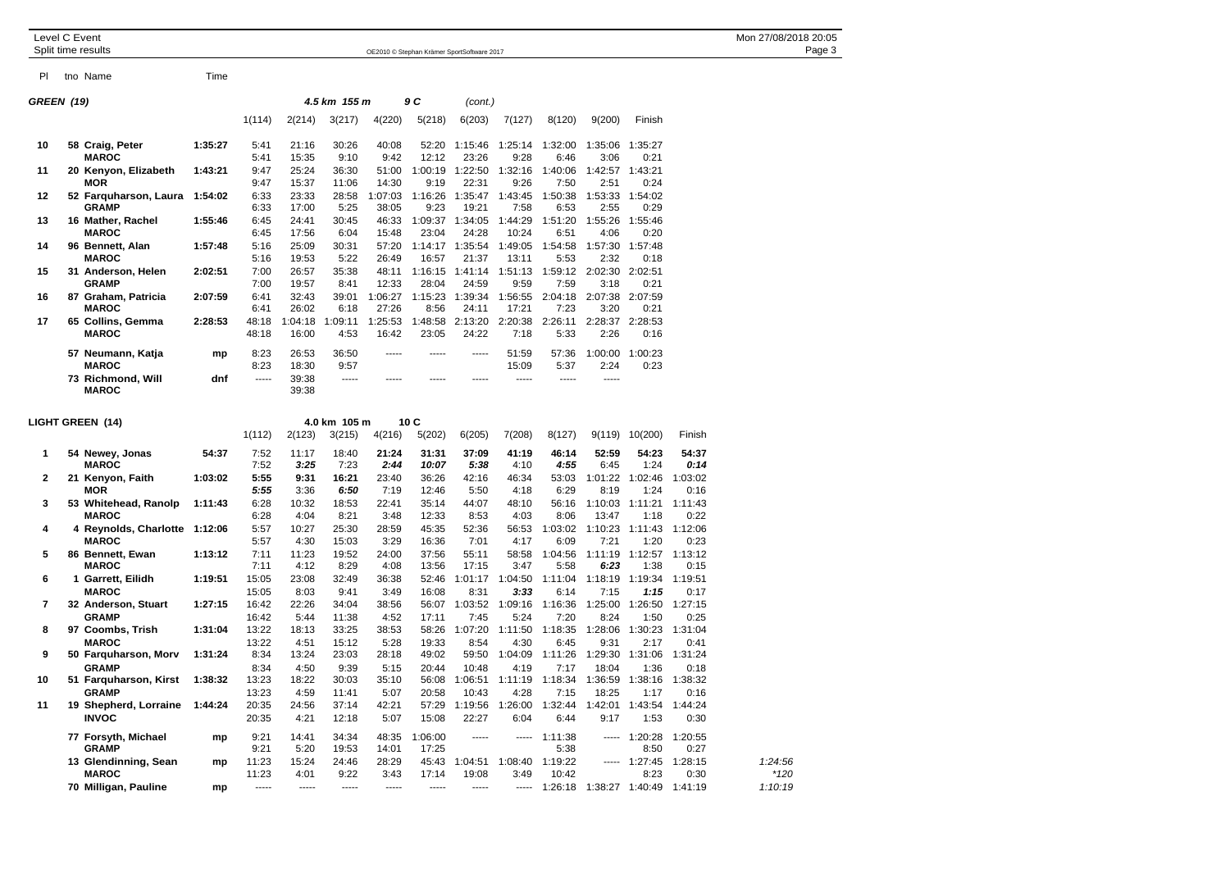| Level C Event    |  | Split time results                                            |         |                         |                       |                         |                       |                         | OE2010 © Stephan Krämer SportSoftware 2017 |                         |                         |                                       |                                 |                         | Mon 27/08/2018 20:05<br>Page 3 |
|------------------|--|---------------------------------------------------------------|---------|-------------------------|-----------------------|-------------------------|-----------------------|-------------------------|--------------------------------------------|-------------------------|-------------------------|---------------------------------------|---------------------------------|-------------------------|--------------------------------|
| PI.              |  | tno Name                                                      | Time    |                         |                       |                         |                       |                         |                                            |                         |                         |                                       |                                 |                         |                                |
| GREEN (19)       |  |                                                               |         |                         |                       | 4.5 km 155 m            |                       | 9 C                     | (cont.)                                    |                         |                         |                                       |                                 |                         |                                |
|                  |  |                                                               |         | 1(114)                  | 2(214)                | 3(217)                  | 4(220)                | 5(218)                  | 6(203)                                     | 7(127)                  | 8(120)                  | 9(200)                                | Finish                          |                         |                                |
| 10               |  | 58 Craig, Peter<br><b>MAROC</b>                               | 1:35:27 | 5:41<br>5:41            | 21:16<br>15:35        | 30:26<br>9:10           | 40:08<br>9:42         | 52:20<br>12:12          | 1:15:46<br>23:26                           | 1:25:14<br>9:28         | 1:32:00<br>6:46         | 1:35:06<br>3:06                       | 1:35:27<br>0:21                 |                         |                                |
| 11               |  | 20 Kenyon, Elizabeth<br><b>MOR</b>                            | 1:43:21 | 9:47<br>9:47            | 25:24<br>15:37        | 36:30<br>11:06          | 51:00<br>14:30        | 1:00:19<br>9:19         | 1:22:50<br>22:31                           | 1:32:16<br>9:26         | 1:40:06<br>7:50         | 1:42:57<br>2:51                       | 1:43:21<br>0:24                 |                         |                                |
| 12               |  | 52 Farquharson, Laura<br><b>GRAMP</b>                         | 1:54:02 | 6:33<br>6:33            | 23:33<br>17:00        | 28:58<br>5:25           | 1:07:03<br>38:05      | 1:16:26<br>9:23         | 1:35:47<br>19:21                           | 1:43:45<br>7:58         | 1:50:38<br>6:53         | 1:53:33<br>2:55                       | 1:54:02<br>0:29                 |                         |                                |
| 13               |  | 16 Mather, Rachel<br><b>MAROC</b>                             | 1:55:46 | 6:45<br>6:45            | 24:41<br>17:56        | 30:45<br>6:04           | 46:33<br>15:48        | 1:09:37<br>23:04        | 1:34:05<br>24:28                           | 1:44:29<br>10:24        | 1:51:20<br>6:51         | 1:55:26<br>4:06                       | 1:55:46<br>0:20                 |                         |                                |
| 14               |  | 96 Bennett, Alan<br><b>MAROC</b>                              | 1:57:48 | 5:16<br>5:16            | 25:09<br>19:53        | 30:31<br>5:22           | 57:20<br>26:49        | 1:14:17<br>16:57        | 1:35:54<br>21:37                           | 1:49:05<br>13:11        | 1:54:58<br>5:53         | 1:57:30<br>2:32                       | 1:57:48<br>0:18                 |                         |                                |
| 15               |  | 31 Anderson, Helen<br><b>GRAMP</b>                            | 2:02:51 | 7:00<br>7:00            | 26:57<br>19:57        | 35:38<br>8:41           | 48:11<br>12:33        | 1:16:15<br>28:04        | 1:41:14<br>24:59                           | 1:51:13<br>9:59         | 7:59                    | 1:59:12 2:02:30 2:02:51<br>3:18       | 0:21                            |                         |                                |
| 16               |  | 87 Graham, Patricia<br><b>MAROC</b>                           | 2:07:59 | 6:41<br>6:41            | 32:43<br>26:02        | 39:01<br>6:18           | 1:06:27<br>27:26      | 1:15:23<br>8:56         | 1:39:34<br>24:11                           | 1:56:55<br>17:21        | 2:04:18<br>7:23         | 2:07:38<br>3:20                       | 2:07:59<br>0:21                 |                         |                                |
| 17               |  | 65 Collins, Gemma<br><b>MAROC</b>                             | 2:28:53 | 48:18<br>48:18          | 1:04:18<br>16:00      | 1:09:11<br>4:53         | 1:25:53<br>16:42      | 1:48:58<br>23:05        | 2:13:20<br>24:22                           | 2:20:38<br>7:18         | 2:26:11<br>5:33         | 2:28:37 2:28:53<br>2:26               | 0:16                            |                         |                                |
|                  |  | 57 Neumann, Katja<br><b>MAROC</b>                             | mp      | 8:23<br>8:23            | 26:53<br>18:30        | 36:50<br>9:57           | -----                 | -----                   | -----                                      | 51:59<br>15:09          | 57:36<br>5:37           | 1:00:00<br>2:24                       | 1:00:23<br>0:23                 |                         |                                |
|                  |  | 73 Richmond, Will<br><b>MAROC</b>                             | dnf     | -----                   | 39:38<br>39:38        | -----                   |                       |                         |                                            | -----                   | -----                   | -----                                 |                                 |                         |                                |
| LIGHT GREEN (14) |  |                                                               |         |                         |                       | 4.0 km 105 m            |                       | 10 C                    |                                            |                         |                         |                                       |                                 |                         |                                |
|                  |  |                                                               |         | 1(112)                  | 2(123)                | 3(215)                  | 4(216)                | 5(202)                  | 6(205)                                     | 7(208)                  | 8(127)                  | 9(119)                                | 10(200)                         | Finish                  |                                |
| 1                |  | 54 Newey, Jonas<br><b>MAROC</b>                               | 54:37   | 7:52<br>7:52            | 11:17<br>3:25         | 18:40<br>7:23           | 21:24<br>2:44         | 31:31<br>10:07          | 37:09<br>5:38                              | 41:19<br>4:10           | 46:14<br>4:55           | 52:59<br>6:45                         | 54:23<br>1:24                   | 54:37<br>0:14           |                                |
| 2                |  | 21 Kenyon, Faith<br><b>MOR</b>                                | 1:03:02 | 5:55<br>5:55            | 9:31<br>3:36          | 16:21<br>6:50           | 23:40<br>7:19         | 36:26<br>12:46          | 42:16<br>5:50                              | 46:34<br>4:18           | 53:03<br>6:29           | 1:01:22<br>8:19                       | 1:02:46<br>1:24                 | 1:03:02<br>0:16         |                                |
| 3                |  | 53 Whitehead, Ranolp<br><b>MAROC</b>                          | 1:11:43 | 6:28<br>6:28            | 10:32<br>4:04         | 18:53<br>8:21           | 22:41<br>3:48         | 35:14<br>12:33          | 44:07<br>8:53                              | 48:10<br>4:03           | 56:16<br>8:06           | 1:10:03<br>13:47                      | 1:11:21<br>1:18                 | 1:11:43<br>0:22         |                                |
| 4                |  | 4 Reynolds, Charlotte 1:12:06<br><b>MAROC</b>                 |         | 5:57<br>5:57            | 10:27<br>4:30         | 25:30<br>15:03          | 28:59<br>3:29         | 45:35<br>16:36          | 52:36<br>7:01                              | 56:53<br>4:17           | 1:03:02<br>6:09         | 1:10:23<br>7:21                       | 1:11:43<br>1:20                 | 1:12:06<br>0:23         |                                |
| 5                |  | 86 Bennett, Ewan<br><b>MAROC</b>                              | 1:13:12 | 7:11<br>7:11            | 11:23<br>4:12         | 19:52<br>8:29           | 24:00<br>4:08         | 37:56<br>13:56          | 55:11<br>17:15                             | 58:58<br>3:47           | 1:04:56<br>5:58         | 1:11:19<br>6:23                       | 1:12:57<br>1:38                 | 1:13:12<br>0:15         |                                |
| 6                |  | 1 Garrett, Eilidh<br><b>MAROC</b>                             | 1:19:51 | 15:05<br>15:05          | 23:08                 | 32:49                   | 36:38                 | 52:46                   | 1:01:17<br>8:31                            | 1:04:50<br>3:33         | 1:11:04                 | 1:18:19                               | 1:19:34                         | 1:19:51                 |                                |
| 7                |  | 32 Anderson, Stuart                                           | 1:27:15 | 16:42                   | 8:03<br>22:26         | 9:41<br>34:04           | 3:49<br>38:56         | 16:08                   | 56:07 1:03:52                              | 1:09:16                 | 6:14<br>1:16:36         | 7:15                                  | 1:15<br>1:25:00 1:26:50         | 0:17<br>1:27:15         |                                |
| 8                |  | <b>GRAMP</b><br>97 Coombs, Trish                              | 1:31:04 | 16:42<br>13:22          | 5:44<br>18:13         | 11:38<br>33:25          | 4:52<br>38:53         | 17:11<br>58:26          | 7:45<br>1:07:20                            | 5:24<br>1:11:50         | 7:20<br>1:18:35         | 8:24<br>1:28:06                       | 1:50<br>1:30:23                 | 0:25<br>1:31:04         |                                |
| 9                |  | <b>MAROC</b><br>50 Farquharson, Morv                          | 1:31:24 | 13:22<br>8:34           | 4:51<br>13:24         | 15:12<br>23:03          | 5:28<br>28:18         | 19:33<br>49:02          | 8:54<br>59:50                              | 4:30<br>1:04:09         | 6:45<br>1:11:26         | 9:31<br>1:29:30                       | 2:17<br>1:31:06                 | 0:41<br>1:31:24         |                                |
| 10               |  | <b>GRAMP</b><br>51 Farquharson, Kirst                         | 1:38:32 | 8:34<br>13:23           | 4:50<br>18:22         | 9:39<br>30:03           | 5:15<br>35:10         | 20:44<br>56:08          | 10:48<br>1:06:51                           | 4:19<br>1:11:19         | 7:17<br>1:18:34         | 18:04<br>1:36:59 1:38:16              | 1:36                            | 0:18<br>1:38:32         |                                |
| 11               |  | <b>GRAMP</b><br>19 Shepherd, Lorraine 1:44:24<br><b>INVOC</b> |         | 13:23<br>20:35<br>20:35 | 4:59<br>24:56<br>4:21 | 11:41<br>37:14<br>12:18 | 5:07<br>42:21<br>5:07 | 20:58<br>57:29<br>15:08 | 10:43<br>1:19:56<br>22:27                  | 4:28<br>1:26:00<br>6:04 | 7:15<br>1:32:44<br>6:44 | 18:25<br>9:17                         | 1:17<br>1:42:01 1:43:54<br>1:53 | 0:16<br>1:44:24<br>0:30 |                                |
|                  |  | 77 Forsyth, Michael<br><b>GRAMP</b>                           | mp      | 9:21<br>9:21            | 14:41<br>5:20         | 34:34<br>19:53          | 48:35<br>14:01        | 1:06:00<br>17:25        | -----                                      |                         | $--- 1:11:38$<br>5:38   |                                       | $--- 1:20:28$<br>8:50           | 1:20:55<br>0:27         |                                |
|                  |  | 13 Glendinning, Sean<br><b>MAROC</b>                          | mp      | 11:23<br>11:23          | 15:24<br>4:01         | 24:46<br>9:22           | 28:29<br>3:43         | 45:43<br>17:14          | 1:04:51<br>19:08                           | 1:08:40 1:19:22<br>3:49 | 10:42                   |                                       | $--- 1:27:45 1:28:15$<br>8:23   | 0:30                    | 1:24:56<br>$*120$              |
|                  |  | 70 Milligan, Pauline                                          | mp      | -----                   | -----                 | -----                   | -----                 | -----                   | -----                                      |                         |                         | ----- 1:26:18 1:38:27 1:40:49 1:41:19 |                                 |                         | 1:10:19                        |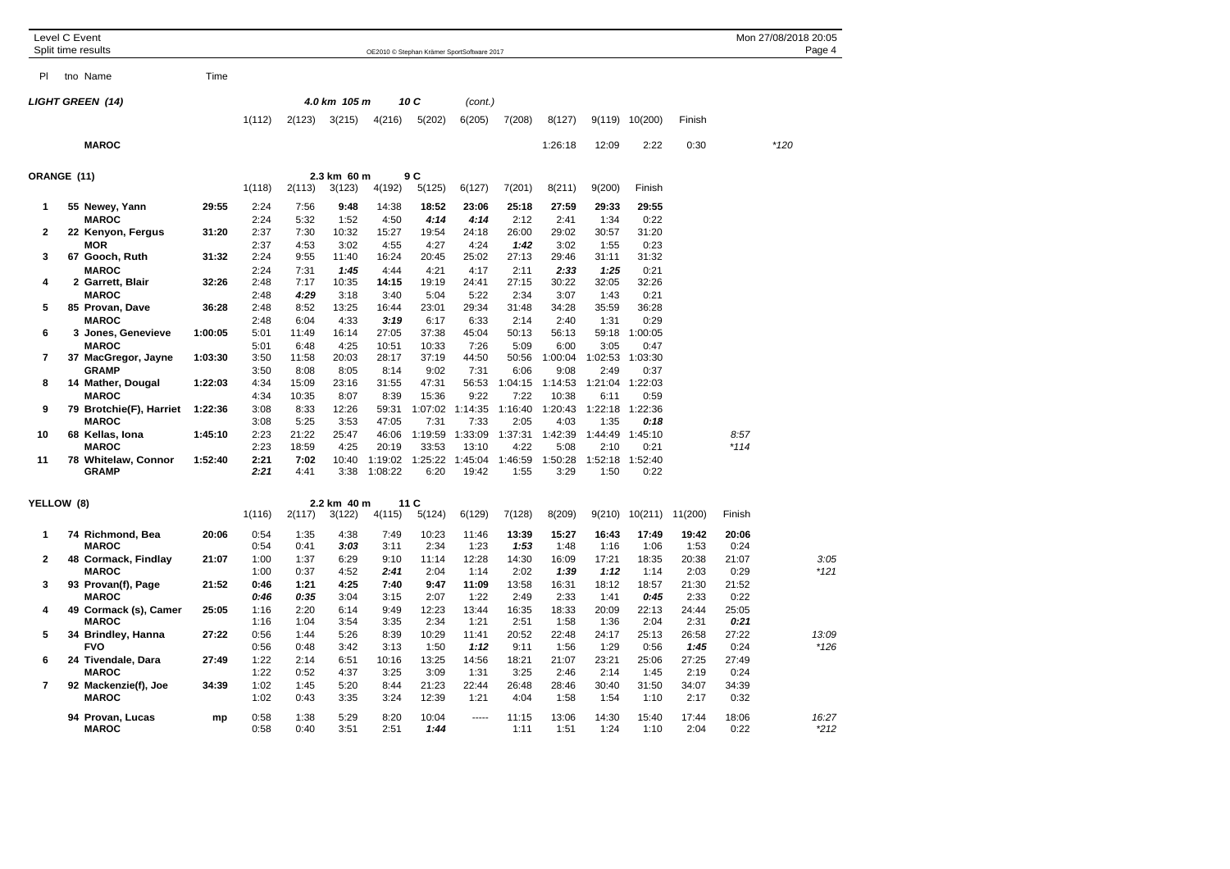| Level C Event  | Split time results                  |         |              |              |               |               |                         | OE2010 © Stephan Krämer SportSoftware 2017 |                 |                 |                 |                 |               |               | Mon 27/08/2018 20:05 | Page 4          |
|----------------|-------------------------------------|---------|--------------|--------------|---------------|---------------|-------------------------|--------------------------------------------|-----------------|-----------------|-----------------|-----------------|---------------|---------------|----------------------|-----------------|
| PI             | tno Name                            | Time    |              |              |               |               |                         |                                            |                 |                 |                 |                 |               |               |                      |                 |
|                | <b>LIGHT GREEN (14)</b>             |         |              |              | 4.0 km 105 m  |               | 10 C                    | (cont.)                                    |                 |                 |                 |                 |               |               |                      |                 |
|                |                                     |         | 1(112)       | 2(123)       | 3(215)        | 4(216)        | 5(202)                  | 6(205)                                     | 7(208)          | 8(127)          |                 | 9(119) 10(200)  | Finish        |               |                      |                 |
|                | <b>MAROC</b>                        |         |              |              |               |               |                         |                                            |                 | 1:26:18         | 12:09           | 2:22            | 0:30          |               | $*120$               |                 |
| ORANGE (11)    |                                     |         |              |              | 2.3 km 60 m   |               | 9 C                     |                                            |                 |                 |                 |                 |               |               |                      |                 |
|                |                                     |         | 1(118)       | 2(113)       | 3(123)        | 4(192)        | 5(125)                  | 6(127)                                     | 7(201)          | 8(211)          | 9(200)          | Finish          |               |               |                      |                 |
| 1              | 55 Newey, Yann                      | 29:55   | 2:24         | 7:56         | 9:48          | 14:38         | 18:52                   | 23:06                                      | 25:18           | 27:59           | 29:33           | 29:55           |               |               |                      |                 |
|                | <b>MAROC</b>                        |         | 2:24         | 5:32         | 1:52          | 4:50          | 4:14                    | 4:14                                       | 2:12            | 2:41            | 1:34            | 0:22            |               |               |                      |                 |
| $\mathbf{2}$   | 22 Kenyon, Fergus                   | 31:20   | 2:37         | 7:30         | 10:32         | 15:27         | 19:54                   | 24:18                                      | 26:00           | 29:02           | 30:57           | 31:20           |               |               |                      |                 |
|                | <b>MOR</b>                          |         | 2:37         | 4:53         | 3:02          | 4:55          | 4:27                    | 4:24                                       | 1:42            | 3:02            | 1:55            | 0:23            |               |               |                      |                 |
| 3              | 67 Gooch, Ruth                      | 31:32   | 2:24         | 9:55         | 11:40         | 16:24         | 20:45                   | 25:02                                      | 27:13           | 29:46           | 31:11           | 31:32           |               |               |                      |                 |
| 4              | <b>MAROC</b><br>2 Garrett, Blair    | 32:26   | 2:24<br>2:48 | 7:31<br>7:17 | 1:45<br>10:35 | 4:44<br>14:15 | 4:21<br>19:19           | 4:17<br>24:41                              | 2:11<br>27:15   | 2:33<br>30:22   | 1:25<br>32:05   | 0:21<br>32:26   |               |               |                      |                 |
|                | <b>MAROC</b>                        |         | 2:48         | 4:29         | 3:18          | 3:40          | 5:04                    | 5:22                                       | 2:34            | 3:07            | 1:43            | 0:21            |               |               |                      |                 |
| 5              | 85 Provan, Dave                     | 36:28   | 2:48         | 8:52         | 13:25         | 16:44         | 23:01                   | 29:34                                      | 31:48           | 34:28           | 35:59           | 36:28           |               |               |                      |                 |
|                | <b>MAROC</b>                        |         | 2:48         | 6:04         | 4:33          | 3:19          | 6:17                    | 6:33                                       | 2:14            | 2:40            | 1:31            | 0:29            |               |               |                      |                 |
| 6              | 3 Jones, Genevieve                  | 1:00:05 | 5:01         | 11:49        | 16:14         | 27:05         | 37:38                   | 45:04                                      | 50:13           | 56:13           | 59:18           | 1:00:05         |               |               |                      |                 |
|                | <b>MAROC</b>                        |         | 5:01         | 6:48         | 4:25          | 10:51         | 10:33                   | 7:26                                       | 5:09            | 6:00            | 3:05            | 0:47            |               |               |                      |                 |
| $\overline{7}$ | 37 MacGregor, Jayne                 | 1:03:30 | 3:50         | 11:58        | 20:03         | 28:17         | 37:19                   | 44:50                                      | 50:56           | 1:00:04         | 1:02:53         | 1:03:30         |               |               |                      |                 |
|                | <b>GRAMP</b>                        |         | 3:50         | 8:08         | 8:05          | 8:14          | 9:02                    | 7:31                                       | 6:06            | 9:08            | 2:49            | 0:37            |               |               |                      |                 |
| 8              | 14 Mather, Dougal                   | 1:22:03 | 4:34         | 15:09        | 23:16         | 31:55         | 47:31                   | 56:53                                      | 1:04:15         | 1:14:53         | 1:21:04 1:22:03 |                 |               |               |                      |                 |
|                | <b>MAROC</b>                        |         | 4:34         | 10:35        | 8:07          | 8:39          | 15:36                   | 9:22                                       | 7:22            | 10:38           | 6:11            | 0:59            |               |               |                      |                 |
| 9              | 79 Brotchie(F), Harriet             | 1:22:36 | 3:08         | 8:33         | 12:26         | 59:31         | 1:07:02                 | 1:14:35                                    | 1:16:40         | 1:20:43         | 1:22:18         | 1:22:36         |               |               |                      |                 |
|                | <b>MAROC</b>                        |         | 3:08         | 5:25         | 3:53          | 47:05         | 7:31                    | 7:33                                       | 2:05            | 4:03            | 1:35            | 0:18            |               |               |                      |                 |
| 10             | 68 Kellas, Iona                     | 1:45:10 | 2:23         | 21:22        | 25:47         | 46:06         | 1:19:59                 | 1:33:09                                    | 1:37:31         | 1:42:39         | 1:44:49         | 1:45:10         |               | 8:57          |                      |                 |
|                | <b>MAROC</b>                        |         | 2:23         | 18:59        | 4:25          | 20:19         | 33:53                   | 13:10                                      | 4:22            | 5:08            | 2:10            | 0:21            |               | $*114$        |                      |                 |
| 11             | 78 Whitelaw, Connor<br><b>GRAMP</b> | 1:52:40 | 2:21<br>2:21 | 7:02<br>4:41 | 10:40<br>3:38 | 1:08:22       | 1:19:02 1:25:22<br>6:20 | 1:45:04<br>19:42                           | 1:46:59<br>1:55 | 1:50:28<br>3:29 | 1:52:18<br>1:50 | 1:52:40<br>0:22 |               |               |                      |                 |
| YELLOW (8)     |                                     |         |              |              | 2.2 km 40 m   |               | 11 C                    |                                            |                 |                 |                 |                 |               |               |                      |                 |
|                |                                     |         | 1(116)       | 2(117)       | 3(122)        | 4(115)        | 5(124)                  | 6(129)                                     | 7(128)          | 8(209)          | 9(210)          | 10(211)         | 11(200)       | Finish        |                      |                 |
| $\mathbf 1$    | 74 Richmond, Bea<br><b>MAROC</b>    | 20:06   | 0:54<br>0:54 | 1:35<br>0:41 | 4:38<br>3:03  | 7:49<br>3:11  | 10:23<br>2:34           | 11:46<br>1:23                              | 13:39<br>1:53   | 15:27<br>1:48   | 16:43<br>1:16   | 17:49<br>1:06   | 19:42<br>1:53 | 20:06<br>0:24 |                      |                 |
| $\overline{2}$ | 48 Cormack, Findlay                 | 21:07   | 1:00         | 1:37         | 6:29          | 9:10          | 11:14                   | 12:28                                      | 14:30           | 16:09           | 17:21           | 18:35           | 20:38         | 21:07         |                      | 3:05            |
|                | <b>MAROC</b>                        |         | 1:00         | 0:37         | 4:52          | 2:41          | 2:04                    | 1:14                                       | 2:02            | 1:39            | 1:12            | 1:14            | 2:03          | 0:29          |                      | $*121$          |
| 3              | 93 Provan(f), Page                  | 21:52   | 0:46         | 1:21         | 4:25          | 7:40          | 9:47                    | 11:09                                      | 13:58           | 16:31           | 18:12           | 18:57           | 21:30         | 21:52         |                      |                 |
|                | <b>MAROC</b>                        |         | 0:46         | 0:35         | 3:04          | 3:15          | 2:07                    | 1:22                                       | 2:49            | 2:33            | 1:41            | 0:45            | 2:33          | 0:22          |                      |                 |
| 4              | 49 Cormack (s), Camer               | 25:05   | 1:16         | 2:20         | 6:14          | 9:49          | 12:23                   | 13:44                                      | 16:35           | 18:33           | 20:09           | 22:13           | 24:44         | 25:05         |                      |                 |
|                | <b>MAROC</b>                        |         | 1:16         | 1:04         | 3:54          | 3:35          | 2:34                    | 1:21                                       | 2:51            | 1:58            | 1:36            | 2:04            | 2:31          | 0:21          |                      |                 |
| 5              | 34 Brindley, Hanna                  | 27:22   | 0:56         | 1:44         | 5:26          | 8:39          | 10:29                   | 11:41                                      | 20:52           | 22:48           | 24:17           | 25:13           | 26:58         | 27:22         |                      | 13:09           |
|                | <b>FVO</b>                          |         | 0:56         | 0:48         | 3:42          | 3:13          | 1:50                    | 1:12                                       | 9:11            | 1:56            | 1:29            | 0:56            | 1:45          | 0:24          |                      | $*126$          |
| 6              | 24 Tivendale, Dara                  | 27:49   | 1:22         | 2:14         | 6:51          | 10:16         | 13:25                   | 14:56                                      | 18:21           | 21:07           | 23:21           | 25:06           | 27:25         | 27:49         |                      |                 |
|                | <b>MAROC</b>                        |         | 1:22         | 0:52         | 4:37          | 3:25          | 3:09                    | 1:31                                       | 3:25            | 2:46            | 2:14            | 1:45            | 2:19          | 0:24          |                      |                 |
| $\overline{7}$ | 92 Mackenzie(f), Joe                | 34:39   | 1:02         | 1:45         | 5:20          | 8:44          | 21:23                   | 22:44                                      | 26:48           | 28:46           | 30:40           | 31:50           | 34:07         | 34:39         |                      |                 |
|                | <b>MAROC</b>                        |         | 1:02         | 0:43         | 3:35          | 3:24          | 12:39                   | 1:21                                       | 4:04            | 1:58            | 1:54            | 1:10            | 2:17          | 0:32          |                      |                 |
|                | 94 Provan, Lucas<br><b>MAROC</b>    | mp      | 0:58<br>0:58 | 1:38<br>0:40 | 5:29<br>3:51  | 8:20<br>2:51  | 10:04<br>1:44           | 1.1.1.1                                    | 11:15<br>1:11   | 13:06<br>1:51   | 14:30<br>1:24   | 15:40<br>1:10   | 17:44<br>2:04 | 18:06<br>0:22 |                      | 16:27<br>$*212$ |
|                |                                     |         |              |              |               |               |                         |                                            |                 |                 |                 |                 |               |               |                      |                 |